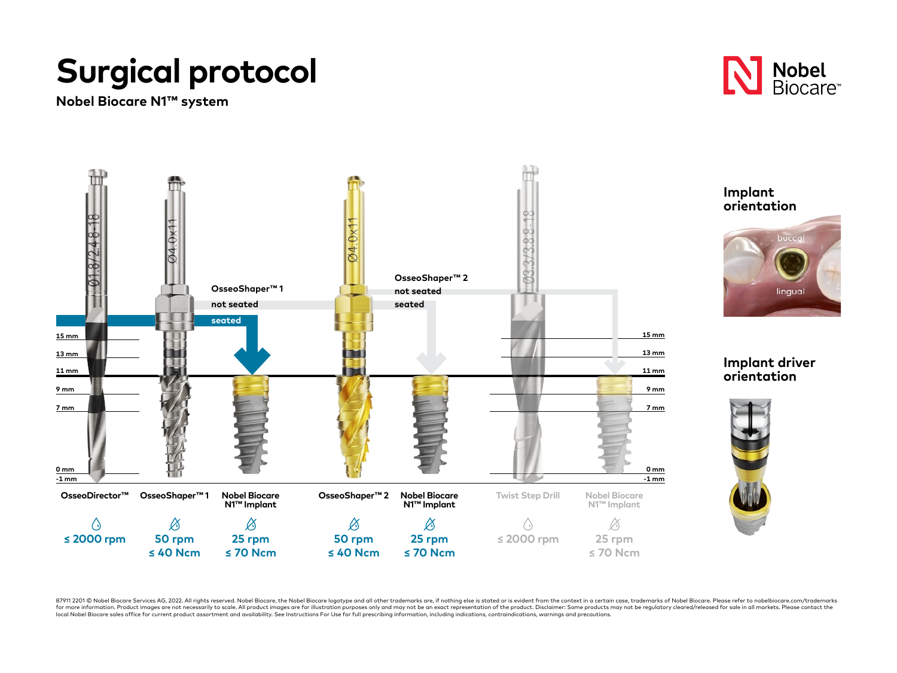## **Surgical protocol**

**Nobel Biocare N1™ system**



 $\overline{\phantom{a}}$ 

lingual



87911 2201 © Nobel Biocare Services AG, 2022. All rights reserved. Nobel Biocare, the Nobel Biocare logotype and all other trademarks are, if nothing else is stated or is evident from the context in a certain case, tradema for more information. Product images are not necessarily to scale. All product images are for illustration purposes only and may not be an exact representation of the product. Disclaimer: Some products may not be requlator local Nobel Biocare sales office for current product assortment and availability. See Instructions For Use for full prescribing information, including indications, contraindications, warnings and precautions.